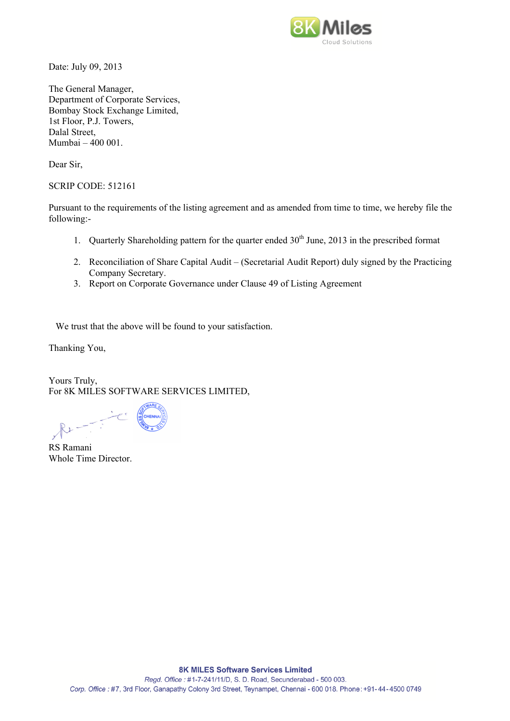

Date: July 09, 2013

The General Manager, Department of Corporate Services, Bombay Stock Exchange Limited, 1st Floor, P.J. Towers, Dalal Street, Mumbai – 400 001.

Dear Sir,

SCRIP CODE: 512161

Pursuant to the requirements of the listing agreement and as amended from time to time, we hereby file the following:-

- 1. Quarterly Shareholding pattern for the quarter ended  $30<sup>th</sup>$  June, 2013 in the prescribed format
- 2. Reconciliation of Share Capital Audit (Secretarial Audit Report) duly signed by the Practicing Company Secretary.
- 3. Report on Corporate Governance under Clause 49 of Listing Agreement

We trust that the above will be found to your satisfaction.

Thanking You,

Yours Truly, For 8K MILES SOFTWARE SERVICES LIMITED,

RS Ramani Whole Time Director.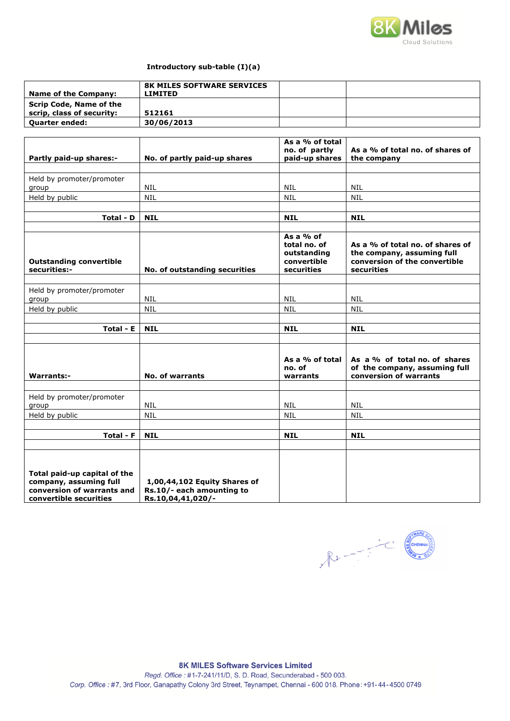

## **Introductory sub-table (I)(a)**

| Name of the Company:                                        | <b>8K MILES SOFTWARE SERVICES</b><br><b>LIMITED</b> |  |
|-------------------------------------------------------------|-----------------------------------------------------|--|
| <b>Scrip Code, Name of the</b><br>scrip, class of security: | 512161                                              |  |
| <b>Quarter ended:</b>                                       | 30/06/2013                                          |  |

|                                                                                                                |                                                                                | As a % of total<br>no. of partly                                        | As a % of total no. of shares of                                                                              |
|----------------------------------------------------------------------------------------------------------------|--------------------------------------------------------------------------------|-------------------------------------------------------------------------|---------------------------------------------------------------------------------------------------------------|
| Partly paid-up shares:-                                                                                        | No. of partly paid-up shares                                                   | paid-up shares                                                          | the company                                                                                                   |
|                                                                                                                |                                                                                |                                                                         |                                                                                                               |
| Held by promoter/promoter                                                                                      |                                                                                |                                                                         |                                                                                                               |
| group                                                                                                          | <b>NIL</b>                                                                     | <b>NIL</b>                                                              | <b>NIL</b>                                                                                                    |
| Held by public                                                                                                 | <b>NIL</b>                                                                     | <b>NIL</b>                                                              | <b>NIL</b>                                                                                                    |
| Total - D                                                                                                      | <b>NIL</b>                                                                     | <b>NIL</b>                                                              | <b>NIL</b>                                                                                                    |
|                                                                                                                |                                                                                |                                                                         |                                                                                                               |
| <b>Outstanding convertible</b><br>securities:-                                                                 | No. of outstanding securities                                                  | As a $%$ of<br>total no. of<br>outstanding<br>convertible<br>securities | As a % of total no, of shares of<br>the company, assuming full<br>conversion of the convertible<br>securities |
|                                                                                                                |                                                                                |                                                                         |                                                                                                               |
| Held by promoter/promoter                                                                                      | <b>NIL</b>                                                                     | <b>NIL</b>                                                              |                                                                                                               |
| group<br>Held by public                                                                                        | <b>NIL</b>                                                                     | <b>NIL</b>                                                              | NIL<br><b>NIL</b>                                                                                             |
|                                                                                                                |                                                                                |                                                                         |                                                                                                               |
| Total - E                                                                                                      | <b>NIL</b>                                                                     | <b>NIL</b>                                                              | <b>NIL</b>                                                                                                    |
|                                                                                                                |                                                                                |                                                                         |                                                                                                               |
| <b>Warrants:-</b>                                                                                              | <b>No. of warrants</b>                                                         | As a % of total<br>no. of<br>warrants                                   | As a % of total no. of shares<br>of the company, assuming full<br>conversion of warrants                      |
|                                                                                                                |                                                                                |                                                                         |                                                                                                               |
| Held by promoter/promoter<br>group                                                                             | NIL                                                                            | <b>NIL</b>                                                              | NIL                                                                                                           |
| Held by public                                                                                                 | <b>NIL</b>                                                                     | <b>NIL</b>                                                              | <b>NIL</b>                                                                                                    |
|                                                                                                                |                                                                                |                                                                         |                                                                                                               |
| Total - F                                                                                                      | <b>NIL</b>                                                                     | <b>NIL</b>                                                              | <b>NIL</b>                                                                                                    |
|                                                                                                                |                                                                                |                                                                         |                                                                                                               |
| Total paid-up capital of the<br>company, assuming full<br>conversion of warrants and<br>convertible securities | 1,00,44,102 Equity Shares of<br>Rs.10/- each amounting to<br>Rs.10,04,41,020/- |                                                                         |                                                                                                               |

 $\mathcal{R}$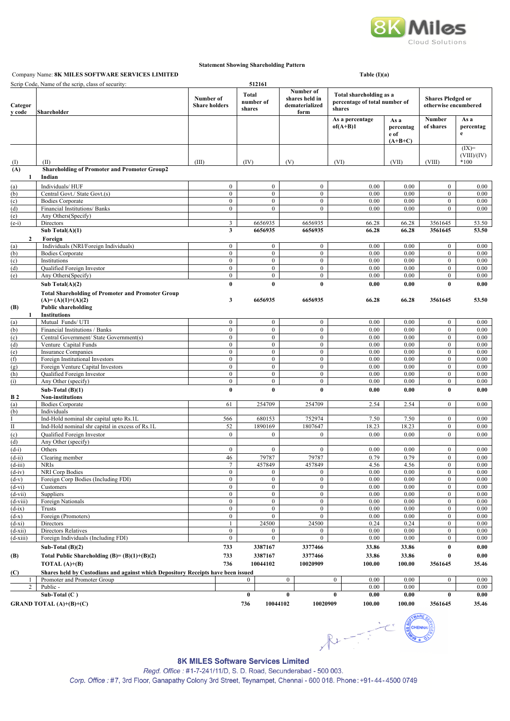

#### **Statement Showing Shareholding Pattern**

## Company Name: **8K MILES SOFTWARE SERVICES LIMITED Table (I)(a) Table (I)(a)**

|                        | Scrip Code, Name of the scrip, class of security:                                                               |                                   |                                      | 512161                              |                                    |                                                       |                                                                    |                                        |                                                  |                        |
|------------------------|-----------------------------------------------------------------------------------------------------------------|-----------------------------------|--------------------------------------|-------------------------------------|------------------------------------|-------------------------------------------------------|--------------------------------------------------------------------|----------------------------------------|--------------------------------------------------|------------------------|
| Categor<br>y code      | Shareholder                                                                                                     | Number of<br><b>Share holders</b> |                                      | <b>Total</b><br>number of<br>shares |                                    | Number of<br>shares held in<br>dematerialized<br>form | Total shareholding as a<br>percentage of total number of<br>shares |                                        | <b>Shares Pledged or</b><br>otherwise encumbered |                        |
|                        |                                                                                                                 |                                   |                                      |                                     |                                    |                                                       | As a percentage<br>$of (A+B)1$                                     | As a<br>percentag<br>e of<br>$(A+B+C)$ | Number<br>of shares                              | As a<br>percentag<br>e |
|                        |                                                                                                                 |                                   |                                      |                                     |                                    |                                                       |                                                                    |                                        |                                                  | $(IX)=$<br>(VIII)/(IV) |
| (I)                    | (II)                                                                                                            | (III)                             |                                      | (IV)                                |                                    | (V)                                                   | (VI)                                                               | (VII)                                  | (VIII)                                           | *100                   |
| (A)<br>1               | <b>Shareholding of Promoter and Promoter Group2</b><br>Indian                                                   |                                   |                                      |                                     |                                    |                                                       |                                                                    |                                        |                                                  |                        |
|                        |                                                                                                                 |                                   |                                      |                                     | $\mathbf{0}$                       |                                                       |                                                                    |                                        |                                                  |                        |
| (a)<br>(b)             | Individuals/HUF<br>Central Govt./ State Govt.(s)                                                                |                                   | $\boldsymbol{0}$<br>$\boldsymbol{0}$ |                                     | $\boldsymbol{0}$                   | $\boldsymbol{0}$<br>$\boldsymbol{0}$                  | 0.00<br>0.00                                                       | 0.00<br>0.00                           | $\boldsymbol{0}$<br>$\boldsymbol{0}$             | 0.00<br>0.00           |
| (c)                    | <b>Bodies Corporate</b>                                                                                         |                                   | $\mathbf{0}$                         |                                     | $\overline{0}$                     | $\boldsymbol{0}$                                      | 0.00                                                               | 0.00                                   | $\boldsymbol{0}$                                 | 0.00                   |
| (d)                    | Financial Institutions/ Banks                                                                                   |                                   | $\mathbf{0}$                         |                                     | $\overline{0}$                     | $\boldsymbol{0}$                                      | 0.00                                                               | 0.00                                   | $\overline{0}$                                   | 0.00                   |
| (e)                    | Any Others(Specify)                                                                                             |                                   |                                      |                                     |                                    |                                                       |                                                                    |                                        |                                                  |                        |
| $(e-i)$                | Directors<br>Sub Total $(A)(1)$                                                                                 |                                   | 3<br>3                               |                                     | 6656935<br>6656935                 | 6656935<br>6656935                                    | 66.28<br>66.28                                                     | 66.28<br>66.28                         | 3561645<br>3561645                               | 53.50<br>53.50         |
| $\mathbf{2}$           | Foreign                                                                                                         |                                   |                                      |                                     |                                    |                                                       |                                                                    |                                        |                                                  |                        |
| (a)                    | Individuals (NRI/Foreign Individuals)                                                                           |                                   | $\boldsymbol{0}$                     |                                     | $\overline{0}$                     | $\boldsymbol{0}$                                      | 0.00                                                               | 0.00                                   | $\boldsymbol{0}$                                 | 0.00                   |
| (b)                    | <b>Bodies Corporate</b>                                                                                         |                                   | $\mathbf{0}$                         |                                     | $\overline{0}$                     | $\mathbf{0}$                                          | 0.00                                                               | 0.00                                   | $\bf{0}$                                         | 0.00                   |
| (c)                    | Institutions                                                                                                    |                                   | $\boldsymbol{0}$                     |                                     | $\overline{0}$                     | $\boldsymbol{0}$                                      | 0.00                                                               | 0.00                                   | $\boldsymbol{0}$                                 | 0.00                   |
| (d)<br>(e)             | Qualified Foreign Investor<br>Any Others(Specify)                                                               |                                   | $\mathbf{0}$<br>$\boldsymbol{0}$     |                                     | $\overline{0}$<br>$\overline{0}$   | $\boldsymbol{0}$<br>$\mathbf{0}$                      | 0.00<br>0.00                                                       | 0.00<br>0.00                           | $\boldsymbol{0}$<br>$\mathbf{0}$                 | 0.00<br>0.00           |
|                        | Sub Total $(A)(2)$                                                                                              |                                   | $\bf{0}$                             |                                     | $\bf{0}$                           | $\bf{0}$                                              | 0.00                                                               | 0.00                                   | $\bf{0}$                                         | 0.00                   |
|                        | <b>Total Shareholding of Promoter and Promoter Group</b>                                                        |                                   |                                      |                                     |                                    |                                                       |                                                                    |                                        |                                                  |                        |
|                        | $(A)=(A)(1)+(A)(2)$                                                                                             |                                   | 3                                    |                                     | 6656935                            | 6656935                                               | 66.28                                                              | 66.28                                  | 3561645                                          | 53.50                  |
| (B)                    | <b>Public shareholding</b>                                                                                      |                                   |                                      |                                     |                                    |                                                       |                                                                    |                                        |                                                  |                        |
| 1                      | <b>Institutions</b>                                                                                             |                                   |                                      |                                     |                                    |                                                       |                                                                    |                                        |                                                  |                        |
| (a)                    | Mutual Funds/ UTI                                                                                               |                                   | $\boldsymbol{0}$                     |                                     | $\boldsymbol{0}$                   | $\boldsymbol{0}$                                      | 0.00                                                               | 0.00                                   | $\boldsymbol{0}$                                 | 0.00                   |
| (b)<br>(c)             | Financial Institutions / Banks<br>Central Government/ State Government(s)                                       |                                   | $\boldsymbol{0}$<br>$\boldsymbol{0}$ |                                     | $\boldsymbol{0}$<br>$\overline{0}$ | $\boldsymbol{0}$<br>$\mathbf{0}$                      | 0.00<br>0.00                                                       | 0.00<br>0.00                           | $\boldsymbol{0}$<br>$\boldsymbol{0}$             | 0.00<br>0.00           |
| (d)                    | Venture Capital Funds                                                                                           |                                   | $\boldsymbol{0}$                     |                                     | $\overline{0}$                     | $\bf{0}$                                              | 0.00                                                               | 0.00                                   | $\overline{0}$                                   | 0.00                   |
| (e)                    | <b>Insurance Companies</b>                                                                                      |                                   | $\boldsymbol{0}$                     |                                     | $\overline{0}$                     | $\boldsymbol{0}$                                      | 0.00                                                               | 0.00                                   | $\boldsymbol{0}$                                 | 0.00                   |
| (f)                    | Foreign Institutional Investors                                                                                 |                                   | $\mathbf{0}$                         |                                     | $\overline{0}$                     | $\mathbf{0}$                                          | 0.00                                                               | 0.00                                   | $\overline{0}$                                   | 0.00                   |
| (g)<br>(h)             | Foreign Venture Capital Investors<br>Qualified Foreign Investor                                                 |                                   | $\mathbf{0}$<br>$\boldsymbol{0}$     |                                     | $\mathbf{0}$<br>$\overline{0}$     | $\mathbf{0}$<br>$\boldsymbol{0}$                      | 0.00<br>0.00                                                       | 0.00<br>0.00                           | $\mathbf{0}$<br>$\boldsymbol{0}$                 | 0.00<br>0.00           |
| (i)                    | Any Other (specify)                                                                                             |                                   | $\boldsymbol{0}$                     |                                     | $\overline{0}$                     | $\bf{0}$                                              | 0.00                                                               | 0.00                                   | $\overline{0}$                                   | 0.00                   |
|                        | Sub-Total $(B)(1)$                                                                                              |                                   | $\bf{0}$                             |                                     | $\bf{0}$                           | $\bf{0}$                                              | 0.00                                                               | 0.00                                   | 0                                                | 0.00                   |
| <b>B</b> 2             | <b>Non-institutions</b>                                                                                         |                                   |                                      |                                     |                                    |                                                       |                                                                    |                                        |                                                  |                        |
| (a)                    | <b>Bodies Corporate</b>                                                                                         |                                   | 61                                   |                                     | 254709                             | 254709                                                | 2.54                                                               | 2.54                                   | $\boldsymbol{0}$                                 | 0.00                   |
| (b)                    | Individuals<br>Ind-Hold nominal shr capital upto Rs.1L                                                          |                                   | 566                                  |                                     | 680153                             | 752974                                                | 7.50                                                               | 7.50                                   | $\boldsymbol{0}$                                 | 0.00                   |
| $_{\rm II}$            | Ind-Hold nominal shr capital in excess of Rs.1L                                                                 |                                   | 52                                   |                                     | 1890169                            | 1807647                                               | 18.23                                                              | 18.23                                  | $\boldsymbol{0}$                                 | 0.00                   |
| (c)                    | Qualified Foreign Investor                                                                                      |                                   | $\mathbf{0}$                         |                                     | $\mathbf{0}$                       | $\boldsymbol{0}$                                      | 0.00                                                               | 0.00                                   | $\boldsymbol{0}$                                 | 0.00                   |
| (d)                    | Any Other (specify)                                                                                             |                                   |                                      |                                     |                                    |                                                       |                                                                    |                                        |                                                  |                        |
| $(d-i)$                | Others                                                                                                          |                                   | $\boldsymbol{0}$                     |                                     | $\boldsymbol{0}$                   | $\boldsymbol{0}$                                      | 0.00                                                               | 0.00                                   | $\boldsymbol{0}$                                 | 0.00                   |
| $(d-i)$                | Clearing member                                                                                                 |                                   | 46                                   |                                     | 79787                              | 79787                                                 | 0.79                                                               | 0.79                                   | $\overline{0}$                                   | 0.00                   |
| $(d-111)$<br>$(d-iv)$  | <b>NRIs</b><br>NRI Corp Bodies                                                                                  |                                   | $\mathbf{0}$                         |                                     | 457849<br>$\mathbf{0}$             | 457849<br>$\mathbf{0}$                                | 4.56<br>0.00                                                       | 4.56<br>0.00                           | $\bf{0}$<br>$\boldsymbol{0}$                     | 0.00<br>0.00           |
| $(d-v)$                | Foreign Corp Bodies (Including FDI)                                                                             |                                   | $\mathbf{0}$                         |                                     | $\mathbf{0}$                       | $\boldsymbol{0}$                                      | 0.00                                                               | 0.00                                   | $\boldsymbol{0}$                                 | 0.00                   |
| $(d-vi)$               | Customers                                                                                                       |                                   | $\boldsymbol{0}$                     |                                     | $\boldsymbol{0}$                   | $\boldsymbol{0}$                                      | 0.00                                                               | 0.00                                   | $\boldsymbol{0}$                                 | 0.00                   |
| $(d-vii)$              | Suppliers                                                                                                       |                                   | $\boldsymbol{0}$                     |                                     | $\overline{0}$                     | $\boldsymbol{0}$                                      | 0.00                                                               | 0.00                                   | $\bf{0}$                                         | 0.00                   |
| $(d-viii)$<br>$(d-ix)$ | Foreign Nationals<br>Trusts                                                                                     |                                   | $\boldsymbol{0}$<br>$\overline{0}$   |                                     | $\overline{0}$<br>$\bf{0}$         | $\bf{0}$<br>$\mathbf{0}$                              | 0.00<br>0.00                                                       | 0.00<br>0.00                           | $\overline{0}$<br>$\overline{0}$                 | 0.00<br>0.00           |
| $(d-x)$                | Foreign (Promoters)                                                                                             |                                   | $\boldsymbol{0}$                     |                                     | $\overline{0}$                     | $\boldsymbol{0}$                                      | 0.00                                                               | 0.00                                   | $\boldsymbol{0}$                                 | 0.00                   |
| $(d-xi)$               | Directors                                                                                                       |                                   | $\mathbf{1}$                         |                                     | 24500                              | 24500                                                 | 0.24                                                               | 0.24                                   | $\boldsymbol{0}$                                 | 0.00                   |
| $(d-xii)$              | Directors Relatives                                                                                             |                                   | $\boldsymbol{0}$                     |                                     | $\boldsymbol{0}$                   | $\boldsymbol{0}$                                      | 0.00                                                               | 0.00                                   | $\boldsymbol{0}$                                 | 0.00                   |
| $(d-xiii)$             | Foreign Individuals (Including FDI)                                                                             |                                   | $\boldsymbol{0}$                     |                                     | $\overline{0}$                     | $\boldsymbol{0}$                                      | 0.00                                                               | 0.00                                   | $\boldsymbol{0}$                                 | 0.00                   |
|                        | Sub-Total $(B)(2)$                                                                                              |                                   | 733                                  |                                     | 3387167                            | 3377466                                               | 33.86                                                              | 33.86                                  | 0                                                | 0.00                   |
| (B)                    | Total Public Shareholding $(B)=(B)(1)+(B)(2)$                                                                   |                                   | 733                                  |                                     | 3387167                            | 3377466                                               | 33.86                                                              | 33.86                                  | 0                                                | 0.00                   |
|                        | TOTAL $(A)+(B)$                                                                                                 |                                   | 736                                  |                                     | 10044102                           | 10020909                                              | 100.00                                                             | 100.00                                 | 3561645                                          | 35.46                  |
| (C)                    | Shares held by Custodians and against which Depository Receipts have been issued<br>Promoter and Promoter Group |                                   |                                      | $\mathbf{0}$                        |                                    | $\bf{0}$                                              | $\bf{0}$<br>0.00                                                   | 0.00                                   | $\boldsymbol{0}$                                 | 0.00                   |
| 2                      | Public -                                                                                                        |                                   |                                      |                                     |                                    |                                                       | 0.00                                                               | 0.00                                   |                                                  | 0.00                   |
|                        | Sub-Total $(C)$                                                                                                 |                                   |                                      | $\bf{0}$                            |                                    | $\bf{0}$                                              | 0.00<br>$\bf{0}$                                                   | 0.00                                   | 0                                                | 0.00                   |
|                        | <b>GRAND TOTAL</b> $(A)+(B)+(C)$                                                                                |                                   |                                      | 736                                 | 10044102                           | 10020909                                              | 100.00                                                             | 100.00                                 | 3561645                                          | 35.46                  |
|                        |                                                                                                                 |                                   |                                      |                                     |                                    |                                                       |                                                                    |                                        |                                                  |                        |

 $R_{1} = \frac{1}{2} C$ 

**8K MILES Software Services Limited** Regd. Office: #1-7-241/11/D, S. D. Road, Secunderabad - 500 003. Corp. Office: #7, 3rd Floor, Ganapathy Colony 3rd Street, Teynampet, Chennai - 600 018. Phone: +91-44-4500 0749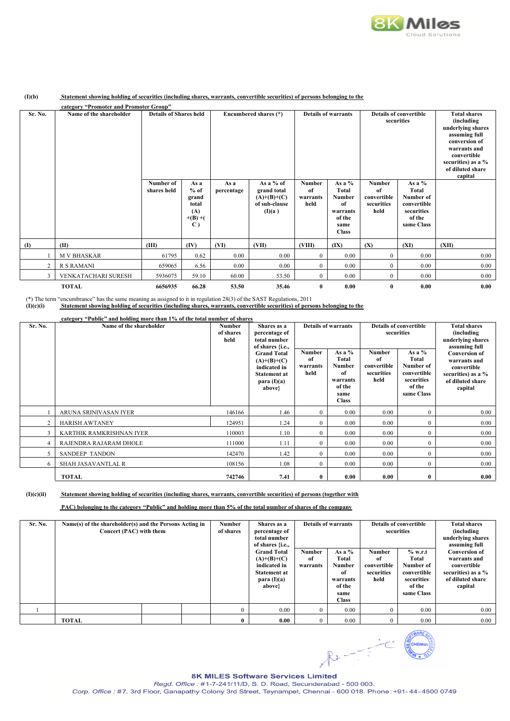

#### **(I)(b) Statement showing holding of securities (including shares, warrants, convertible securities) of persons belonging to the**

|                | category "Promoter and Promoter Group" |                               |                                                                       |                       |                                                                      |                                         |                                                                               |                                                          |                                                                                            |       |  |  |  |                            |  |                                             |  |                                                                                                                                                                              |
|----------------|----------------------------------------|-------------------------------|-----------------------------------------------------------------------|-----------------------|----------------------------------------------------------------------|-----------------------------------------|-------------------------------------------------------------------------------|----------------------------------------------------------|--------------------------------------------------------------------------------------------|-------|--|--|--|----------------------------|--|---------------------------------------------|--|------------------------------------------------------------------------------------------------------------------------------------------------------------------------------|
| Sr. No.        | Name of the shareholder                | <b>Details of Shares held</b> |                                                                       | Encumbered shares (*) |                                                                      |                                         |                                                                               |                                                          |                                                                                            |       |  |  |  | <b>Details of warrants</b> |  | <b>Details of convertible</b><br>securities |  | <b>Total shares</b><br>(including<br>underlying shares<br>assuming full<br>conversion of<br>warrants and<br>convertible<br>securities) as a %<br>of diluted share<br>capital |
|                |                                        | Number of<br>shares held      | As a<br>$%$ of<br>grand<br>total<br>(A)<br>$+(B)+($<br>$\mathbf{C}$ ) | As a<br>percentage    | As a % of<br>grand total<br>$(A)+(B)+(C)$<br>of sub-clause<br>(I)(a) | <b>Number</b><br>of<br>warrants<br>held | As a %<br>Total<br>Number<br>of<br>warrants<br>of the<br>same<br><b>Class</b> | <b>Number</b><br>of<br>convertible<br>securities<br>held | As a $%$<br><b>Total</b><br>Number of<br>convertible<br>securities<br>of the<br>same Class |       |  |  |  |                            |  |                                             |  |                                                                                                                                                                              |
| $\mathbf{I}$   | (II)                                   | (III)                         | (IV)                                                                  | (VI)                  | (VII)                                                                | (VIII)                                  | (IX)                                                                          | (X)                                                      | (XI)                                                                                       | (XII) |  |  |  |                            |  |                                             |  |                                                                                                                                                                              |
|                | <b>M V BHASKAR</b>                     | 61795                         | 0.62                                                                  | 0.00                  | 0.00                                                                 | $\mathbf{0}$                            | 0.00                                                                          | $\mathbf{0}$                                             | 0.00                                                                                       | 0.00  |  |  |  |                            |  |                                             |  |                                                                                                                                                                              |
| $\overline{2}$ | R S RAMANI                             | 659065                        | 6.56                                                                  | 0.00                  | 0.00                                                                 | $\overline{0}$                          | 0.00                                                                          | $\mathbf{0}$                                             | 0.00                                                                                       | 0.00  |  |  |  |                            |  |                                             |  |                                                                                                                                                                              |
| 3              | VENKATACHARI SURESH                    | 5936075                       | 59.10                                                                 | 60.00                 | 53.50                                                                | $\overline{0}$                          | 0.00                                                                          | $\mathbf{0}$                                             | 0.00                                                                                       | 0.00  |  |  |  |                            |  |                                             |  |                                                                                                                                                                              |
|                | <b>TOTAL</b>                           | 6656935                       | 66.28                                                                 | 53.50                 | 35.46                                                                | $\bf{0}$                                | 0.00                                                                          | 0                                                        | 0.00                                                                                       | 0.00  |  |  |  |                            |  |                                             |  |                                                                                                                                                                              |

(\*) The term "encumbrance" has the same meaning as assigned to it in regulation 28(3) of the SAST Regulations, 2011

 **(I)(c)(i) Statement showing holding of securities (including shares, warrants, convertible securities) of persons belonging to the** 

| Sr. No.               | category "Public" and holding more than 1% of the total number of shares<br>Name of the shareholder | Number<br>of shares<br>held |                                                                                                       | Shares as a<br>percentage of<br>total number<br>of shares {i.e., |                                                                               |                                                          |                                                                                   | <b>Details of warrants</b>                                                                               |  | <b>Details of convertible</b><br>securities |  | <b>Total shares</b><br>(including)<br>underlying shares<br>assuming full |
|-----------------------|-----------------------------------------------------------------------------------------------------|-----------------------------|-------------------------------------------------------------------------------------------------------|------------------------------------------------------------------|-------------------------------------------------------------------------------|----------------------------------------------------------|-----------------------------------------------------------------------------------|----------------------------------------------------------------------------------------------------------|--|---------------------------------------------|--|--------------------------------------------------------------------------|
|                       |                                                                                                     |                             | <b>Grand Total</b><br>$(A)+(B)+(C)$<br>indicated in<br><b>Statement at</b><br>para $(I)(a)$<br>above} | <b>Number</b><br>of<br>warrants<br>held                          | As a %<br>Total<br>Number<br>of<br>warrants<br>of the<br>same<br><b>Class</b> | <b>Number</b><br>of<br>convertible<br>securities<br>held | As a %<br>Total<br>Number of<br>convertible<br>securities<br>of the<br>same Class | <b>Conversion of</b><br>warrants and<br>convertible<br>securities) as a %<br>of diluted share<br>capital |  |                                             |  |                                                                          |
|                       | ARUNA SRINIVASAN IYER                                                                               | 146166                      | 1.46                                                                                                  | $\overline{0}$                                                   | 0.00                                                                          | 0.00                                                     | $\boldsymbol{0}$                                                                  | 0.00                                                                                                     |  |                                             |  |                                                                          |
| $\overline{2}$        | <b>HARISH AWTANEY</b>                                                                               | 124951                      | 1.24                                                                                                  | $\Omega$                                                         | 0.00                                                                          | 0.00                                                     | $\mathbf{0}$                                                                      | 0.00                                                                                                     |  |                                             |  |                                                                          |
| $\mathbf{3}$          | KARTHIK RAMKRISHNAN IYER                                                                            | 110003                      | 1.10                                                                                                  | $\mathbf{0}$                                                     | 0.00                                                                          | 0.00                                                     | $\mathbf{0}$                                                                      | 0.00                                                                                                     |  |                                             |  |                                                                          |
| $\overline{4}$        | RAJENDRA RAJARAM DHOLE                                                                              | 111000                      | 1.11                                                                                                  | $\overline{0}$                                                   | 0.00                                                                          | 0.00                                                     | $\boldsymbol{0}$                                                                  | 0.00                                                                                                     |  |                                             |  |                                                                          |
| $\tilde{\mathcal{L}}$ | <b>SANDEEP TANDON</b>                                                                               | 142470                      | 1.42                                                                                                  | $\overline{0}$                                                   | 0.00                                                                          | 0.00                                                     | $\mathbf{0}$                                                                      | 0.00                                                                                                     |  |                                             |  |                                                                          |
| 6                     | SHAH JASAVANTLAL R                                                                                  | 108156                      | 1.08                                                                                                  | $\mathbf{0}$                                                     | 0.00                                                                          | 0.00                                                     | $\mathbf{0}$                                                                      | 0.00                                                                                                     |  |                                             |  |                                                                          |
|                       | <b>TOTAL</b>                                                                                        | 742746                      | 7.41                                                                                                  | $\bf{0}$                                                         | 0.00                                                                          | 0.00                                                     | $\bf{0}$                                                                          | 0.00                                                                                                     |  |                                             |  |                                                                          |

 **(I)(c)(ii) Statement showing holding of securities (including shares, warrants, convertible securities) of persons (together with** 

 **PAC) belonging to the category "Public" and holding more than 5% of the total number of shares of the company** 

| Sr. No. | Name(s) of the shareholder(s) and the Persons Acting in<br>Concert (PAC) with them | <b>Number</b><br>of shares | Shares as a<br>percentage of<br>total number<br>of shares {i.e.,<br><b>Grand Total</b><br>$(A)+(B)+(C)$<br>indicated in<br><b>Statement at</b><br>para $(I)(a)$<br>above} | Number<br>-of<br>warrants | <b>Details of warrants</b><br>As a $%$<br>Total<br><b>Number</b><br>of<br>warrants<br>of the<br>same<br><b>Class</b> | <b>Number</b><br>of<br>convertible<br>securities<br>held | <b>Details of convertible</b><br>securities<br>$%$ w.r.t<br>Total<br>Number of<br>convertible<br>securities<br>of the<br>same Class | <b>Total shares</b><br>(including<br>underlying shares<br>assuming full<br><b>Conversion of</b><br>warrants and<br>convertible<br>securities) as a %<br>of diluted share<br>capital |
|---------|------------------------------------------------------------------------------------|----------------------------|---------------------------------------------------------------------------------------------------------------------------------------------------------------------------|---------------------------|----------------------------------------------------------------------------------------------------------------------|----------------------------------------------------------|-------------------------------------------------------------------------------------------------------------------------------------|-------------------------------------------------------------------------------------------------------------------------------------------------------------------------------------|
|         |                                                                                    |                            | 0.00                                                                                                                                                                      | $\Omega$                  | 0.00                                                                                                                 | $\Omega$                                                 | 0.00                                                                                                                                | 0.00                                                                                                                                                                                |
|         | <b>TOTAL</b>                                                                       |                            | 0.00                                                                                                                                                                      | $\Omega$                  | 0.00                                                                                                                 | 0                                                        | 0.00                                                                                                                                | 0.00                                                                                                                                                                                |

 $R_{1} = \frac{1}{2} C$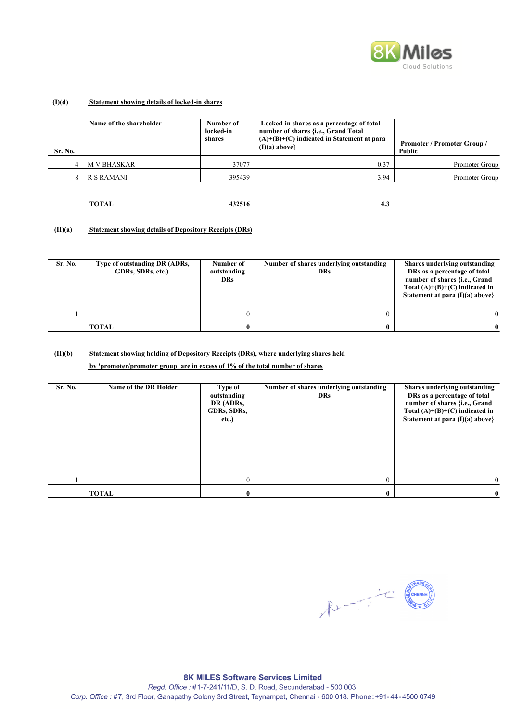

## **(I)(d) Statement showing details of locked-in shares**

| <b>Sr. No.</b> | Name of the shareholder | Number of<br>locked-in<br>shares | Locked-in shares as a percentage of total<br>number of shares {i.e., Grand Total<br>$(A)+(B)+(C)$ indicated in Statement at para<br>$(I)(a)$ above} | <b>Promoter / Promoter Group /</b><br>Public |
|----------------|-------------------------|----------------------------------|-----------------------------------------------------------------------------------------------------------------------------------------------------|----------------------------------------------|
|                | <b>M V BHASKAR</b>      | 37077                            | 0.37                                                                                                                                                | Promoter Group                               |
| $\circ$        | R S RAMANI              | 395439                           | 3.94                                                                                                                                                | Promoter Group                               |

 **TOTAL 432516 4.3**

## **(II)(a) Statement showing details of Depository Receipts (DRs)**

| Sr. No. | Type of outstanding DR (ADRs,<br>GDRs, SDRs, etc.) | Number of<br>outstanding<br>DRs. | Number of shares underlying outstanding<br>DRs | Shares underlying outstanding<br>DRs as a percentage of total<br>number of shares {i.e., Grand<br>Total $(A)+(B)+(C)$ indicated in<br>Statement at para $(I)(a)$ above? |
|---------|----------------------------------------------------|----------------------------------|------------------------------------------------|-------------------------------------------------------------------------------------------------------------------------------------------------------------------------|
|         |                                                    |                                  |                                                |                                                                                                                                                                         |
|         | <b>TOTAL</b>                                       |                                  | 0                                              | $\mathbf{0}$                                                                                                                                                            |

## **(II)(b) Statement showing holding of Depository Receipts (DRs), where underlying shares held**

 **by 'promoter/promoter group' are in excess of 1% of the total number of shares** 

| Sr. No. | Name of the DR Holder | Type of<br>outstanding<br>DR (ADRs,<br>GDRs, SDRs,<br>etc.) | Number of shares underlying outstanding<br><b>DRs</b> | Shares underlying outstanding<br>DRs as a percentage of total<br>number of shares {i.e., Grand<br>Total $(A)+(B)+(C)$ indicated in<br>Statement at para $(I)(a)$ above} |
|---------|-----------------------|-------------------------------------------------------------|-------------------------------------------------------|-------------------------------------------------------------------------------------------------------------------------------------------------------------------------|
|         |                       | 0                                                           | 0                                                     |                                                                                                                                                                         |
|         | <b>TOTAL</b>          |                                                             | 0                                                     | $\bf{0}$                                                                                                                                                                |

RIVERSING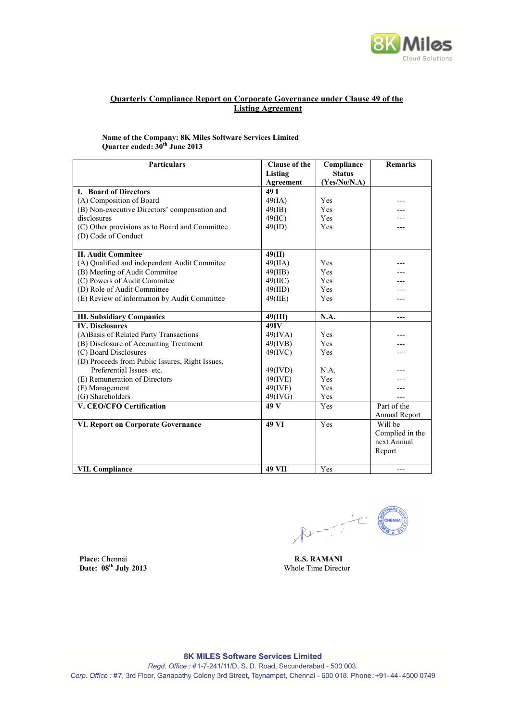

## **Quarterly Compliance Report on Corporate Governance under Clause 49 of the Listing Agreement**

**Name of the Company: 8K Miles Software Services Limited Quarter ended: 30th June 2013**

| <b>Particulars</b>                              | <b>Clause of the</b> | Compliance    | <b>Remarks</b>  |
|-------------------------------------------------|----------------------|---------------|-----------------|
|                                                 | Listing              | <b>Status</b> |                 |
|                                                 | Agreement            | (Yes/No/N.A)  |                 |
| I. Board of Directors                           | 49 I                 |               |                 |
| (A) Composition of Board                        | 49(IA)               | Yes           |                 |
| (B) Non-executive Directors' compensation and   | $49$ (IB)            | Yes           |                 |
| disclosures                                     | 49(IC)               | Yes           |                 |
| (C) Other provisions as to Board and Committee  | 49(ID)               | Yes           |                 |
| (D) Code of Conduct                             |                      |               |                 |
|                                                 |                      |               |                 |
| <b>II. Audit Commitee</b>                       | 49(II)               |               |                 |
| (A) Qualified and independent Audit Commitee    | 49(IIA)              | Yes           |                 |
| (B) Meeting of Audit Commitee                   | 49(IIB)              | Yes           |                 |
| (C) Powers of Audit Commitee                    | $49($ IIC $)$        | Yes           |                 |
| (D) Role of Audit Committee                     | 49(III)              | Yes           |                 |
| (E) Review of information by Audit Committee    | 49(IIE)              | Yes           |                 |
|                                                 |                      |               |                 |
| <b>III. Subsidiary Companies</b>                | 49(III)              | N.A.          | ---             |
| <b>IV.</b> Disclosures                          | 49IV                 |               |                 |
| (A)Basis of Related Party Transactions          | 49(IVA)              | Yes           |                 |
| (B) Disclosure of Accounting Treatment          | $49$ (IVB)           | Yes           |                 |
| (C) Board Disclosures                           | $49$ (IVC)           | Yes           |                 |
| (D) Proceeds from Public Issures, Right Issues, |                      |               |                 |
| Preferential Issues etc.                        | 49(IVD)              | N.A.          |                 |
| (E) Remuneration of Directors                   | $49$ (IVE)           | Yes           |                 |
| (F) Management                                  | 49(IVF)              | Yes           |                 |
| (G) Shareholders                                | 49(IVG)              | Yes           | ---             |
| V. CEO/CFO Certification                        | 49 V                 | Yes           | Part of the     |
|                                                 |                      |               | Annual Report   |
| <b>VI. Report on Corporate Governance</b>       | 49 VI                | Yes           | Will be         |
|                                                 |                      |               | Complied in the |
|                                                 |                      |               | next Annual     |
|                                                 |                      |               | Report          |
|                                                 |                      |               |                 |
| <b>VII. Compliance</b>                          | <b>49 VII</b>        | Yes           |                 |

 $R_{\text{L}} = \frac{1}{2} \frac{1}{\sqrt{2}}$ 

**Place:** Chennai **R.S. RAMANI**<br> **Date:** 08<sup>th</sup> July 2013 Whole Time Director Date:  $08<sup>th</sup>$  July 2013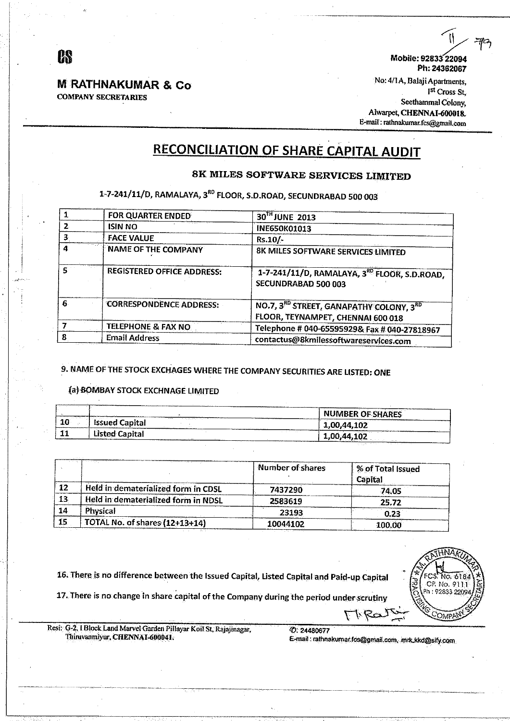## **M RATHNAKUMAR & Co COMPANY SECRETARIES**

Mobile: 92833 22094 Ph: 24362067

No: 4/1A, Balaji Apartments, Ist Cross St, Seethammal Colony, Alwarpet, CHENNAI-600018. E-mail: rathnakumar.fcs@gmail.com

# **RECONCILIATION OF SHARE CAPITAL AUDIT**

## 8K MILES SOFTWARE SERVICES LIMITED

# 1-7-241/11/D, RAMALAYA, 3<sup>80</sup> FLOOR, S.D.ROAD, SECUNDRABAD 500 003

|    | FOR QUARTER ENDED                 | 30 <sup>TH</sup> JUNE 2013                                                               |
|----|-----------------------------------|------------------------------------------------------------------------------------------|
|    | <b>ISIN NO</b>                    | <b>INE650K01013</b>                                                                      |
| З. | <b>FACE VALUE</b>                 | $Rs.10/-$                                                                                |
| 4  | <b>NAME OF THE COMPANY</b>        | 8K MILES SOFTWARE SERVICES LIMITED                                                       |
| ς  | <b>REGISTERED OFFICE ADDRESS:</b> | 1-7-241/11/D, RAMALAYA, 3 <sup>80</sup> FLOOR, S.D.ROAD.<br>SECUNDRABAD 500 003          |
| 6  | <b>CORRESPONDENCE ADDRESS:</b>    | NO.7, 3 <sup>RD</sup> STREET, GANAPATHY COLONY, 3RD<br>FLOOR, TEYNAMPET, CHENNAI 600 018 |
|    | TELEPHONE & FAX NO                | Telephone # 040-65595929& Fax # 040-27818967                                             |
|    | <b>Email Address</b>              | contactus@8kmilessoftwareservices.com                                                    |

# 9. NAME OF THE STOCK EXCHAGES WHERE THE COMPANY SECURITIES ARE LISTED: ONE

## (a) BOMBAY STOCK EXCHNAGE LIMITED

| .          | ASSESSMENT PROPERTY AND RELEASE.<br>With the former company and continues are a series of<br>$\cdots$                                                                                                                        | ______________<br>whyseless and announcement of the component<br>NUMBER OF SHARES<br><b>CONSUMING AND INTERNATIONAL PROPERTY</b> |
|------------|------------------------------------------------------------------------------------------------------------------------------------------------------------------------------------------------------------------------------|----------------------------------------------------------------------------------------------------------------------------------|
| 10         | .<br><b>Issued Capital</b><br>$\sim$<br>the contract of the construction of the contract of the contract of the contract of the contract of the contract of<br>-Terminal component and provided and<br>_____________________ | The contract of the component contract of<br>1,00,44,102                                                                         |
| -414<br>-- | Listed Capital<br>$\sim$<br>The World Walker of the American and the American Association and the Content of the Walker of The Walker of The Walker                                                                          | ________<br>1,00,44,102<br>.<br>www.communication.com                                                                            |

|           |                                     | Number of shares | % of Total Issued<br>Capital |
|-----------|-------------------------------------|------------------|------------------------------|
| 12        | Held in dematerialized form in CDSL | 7437290          | 74.05                        |
| 13        | Held in dematerialized form in NDSL | 2583619          | 25.72                        |
| 14        | Physical                            | 23193            | 0.23                         |
| <b>15</b> | TOTAL No. of shares (12+13+14)      | 10044102         | 100.00                       |

16. There is no difference between the Issued Capital, Listed Capital and Paid-up Capital

17. There is no change in share capital of the Company during the period under scrutiny



Resi: G-2, I Block Land Marvel Garden Pillayar Koil St, Rajajinagar, Thiruvanmiyur, CHENNAI-600041.

*<u>C: 24480677</u>* E-mail: rathnakumar.fcs@gmail.com, mrk.kkd@sify.com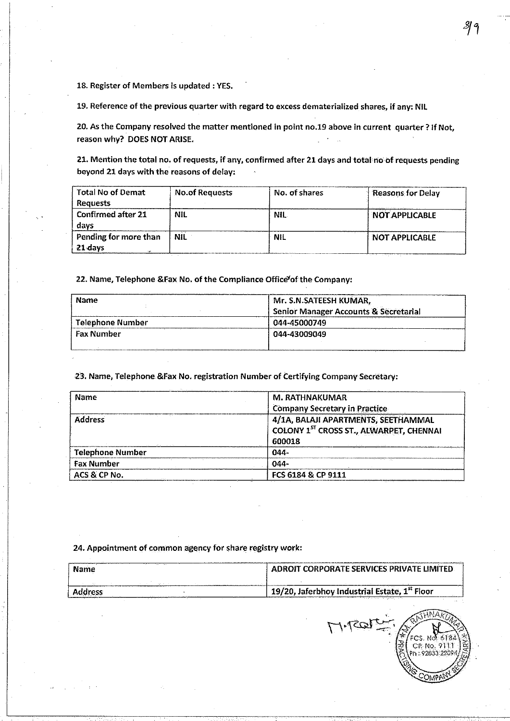18. Register of Members is updated : YES.

19. Reference of the previous quarter with regard to excess dematerialized shares, if any: NIL

20. As the Company resolved the matter mentioned in point no.19 above in current quarter ? If Not, reason why? DOES NOT ARISE.

21. Mention the total no. of requests, if any, confirmed after 21 days and total no of requests pending beyond 21 days with the reasons of delay:

| <b>Total No of Demat</b>          | <b>No.of Requests</b> | No. of shares | <b>Reasons for Delay</b> |
|-----------------------------------|-----------------------|---------------|--------------------------|
| <b>Requests</b>                   |                       |               |                          |
| <b>Confirmed after 21</b><br>davs | -NIL                  | <b>NIL</b>    | NOT APPLICABLE           |
| Pending for more than<br>21 days  | <b>NIL</b>            | NIL           | <b>NOT APPLICABLE</b>    |

22. Name, Telephone & Fax No. of the Compliance Office<sup>v</sup>of the Company:

| <b>Name</b>       | Mr. S.N.SATEESH KUMAR,                           |  |
|-------------------|--------------------------------------------------|--|
|                   | <b>Senior Manager Accounts &amp; Secretarial</b> |  |
| Telephone Number  | 044-45000749                                     |  |
| <b>Fax Number</b> | 044-43009049                                     |  |
|                   |                                                  |  |

23. Name, Telephone &Fax No. registration Number of Certifying Company Secretary:

| M. RATHNAKUMAR                                                                                                                   |  |
|----------------------------------------------------------------------------------------------------------------------------------|--|
| <b>Company Secretary in Practice</b><br>4/1A, BALAJI APARTMENTS, SEETHAMMAL<br>COLONY 1ST CROSS ST., ALWARPET, CHENNAI<br>600018 |  |
| $044 -$                                                                                                                          |  |
| $044 -$                                                                                                                          |  |
| FCS 6184 & CP 9111                                                                                                               |  |
|                                                                                                                                  |  |

## 24. Appointment of common agency for share registry work:

| Name     | ADROIT CORPORATE SERVICES PRIVATE LIMITED.                |  |
|----------|-----------------------------------------------------------|--|
|          |                                                           |  |
| ddress - | 19/20, Jaferbhoy Industrial Estate, 1st Floor<br>$\cdots$ |  |

Hilson DR: No.